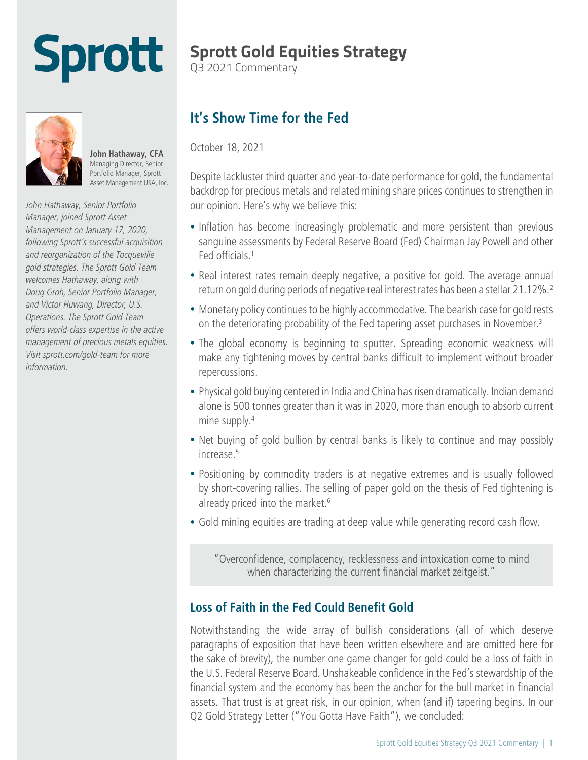# **Sprott**

## **Sprott Gold Equities Strategy**

Q3 2021 Commentary



**John Hathaway, CFA**  Managing Director, Senior Portfolio Manager, Sprott Asset Management USA, Inc.

*John Hathaway, Senior Portfolio Manager, joined Sprott Asset Management on January 17, 2020, following Sprott's successful acquisition and reorganization of the Tocqueville gold strategies. The Sprott Gold Team welcomes Hathaway, along with Doug Groh, Senior Portfolio Manager, and Victor Huwang, Director, U.S. Operations. The Sprott Gold Team offers world-class expertise in the active management of precious metals equities. Visit [sprott.com/gold-team](https://sprott.com/our-firm/sprott-gold-team/) for more information.*

### **It's Show Time for the Fed**

October 18, 2021

Despite lackluster third quarter and year-to-date performance for gold, the fundamental backdrop for precious metals and related mining share prices continues to strengthen in our opinion. Here's why we believe this:

- Inflation has become increasingly problematic and more persistent than previous sanguine assessments by Federal Reserve Board (Fed) Chairman Jay Powell and other Fed officials.1
- Real interest rates remain deeply negative, a positive for gold. The average annual return on gold during periods of negative real interest rates has been a stellar 21.12%.2
- Monetary policy continues to be highly accommodative. The bearish case for gold rests on the deteriorating probability of the Fed tapering asset purchases in November.<sup>3</sup>
- The global economy is beginning to sputter. Spreading economic weakness will make any tightening moves by central banks difficult to implement without broader repercussions.
- Physical gold buying centered in India and China has risen dramatically. Indian demand alone is 500 tonnes greater than it was in 2020, more than enough to absorb current mine supply.<sup>4</sup>
- Net buying of gold bullion by central banks is likely to continue and may possibly increase.5
- Positioning by commodity traders is at negative extremes and is usually followed by short-covering rallies. The selling of paper gold on the thesis of Fed tightening is already priced into the market.<sup>6</sup>
- Gold mining equities are trading at deep value while generating record cash flow.

"Overconfidence, complacency, recklessness and intoxication come to mind when characterizing the current financial market zeitgeist."

#### **Loss of Faith in the Fed Could Benefit Gold**

Notwithstanding the wide array of bullish considerations (all of which deserve paragraphs of exposition that have been written elsewhere and are omitted here for the sake of brevity), the number one game changer for gold could be a loss of faith in the U.S. Federal Reserve Board. Unshakeable confidence in the Fed's stewardship of the financial system and the economy has been the anchor for the bull market in financial assets. That trust is at great risk, in our opinion, when (and if) tapering begins. In our Q2 Gold Strategy Letter ("[You Gotta Have Faith"](https://www.sprott.com/insights/sprott-gold-report-you-gotta-have-faith/)), we concluded: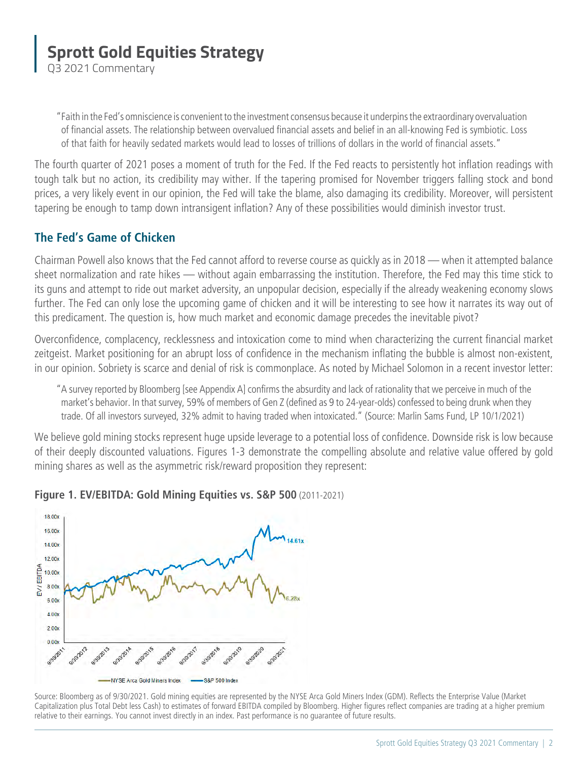Q3 2021 Commentary

"Faith in the Fed's omniscience is convenient to the investment consensus because it underpins the extraordinary overvaluation of financial assets. The relationship between overvalued financial assets and belief in an all-knowing Fed is symbiotic. Loss of that faith for heavily sedated markets would lead to losses of trillions of dollars in the world of financial assets."

The fourth quarter of 2021 poses a moment of truth for the Fed. If the Fed reacts to persistently hot inflation readings with tough talk but no action, its credibility may wither. If the tapering promised for November triggers falling stock and bond prices, a very likely event in our opinion, the Fed will take the blame, also damaging its credibility. Moreover, will persistent tapering be enough to tamp down intransigent inflation? Any of these possibilities would diminish investor trust.

#### **The Fed's Game of Chicken**

Chairman Powell also knows that the Fed cannot afford to reverse course as quickly as in 2018 — when it attempted balance sheet normalization and rate hikes — without again embarrassing the institution. Therefore, the Fed may this time stick to its guns and attempt to ride out market adversity, an unpopular decision, especially if the already weakening economy slows further. The Fed can only lose the upcoming game of chicken and it will be interesting to see how it narrates its way out of this predicament. The question is, how much market and economic damage precedes the inevitable pivot?

Overconfidence, complacency, recklessness and intoxication come to mind when characterizing the current financial market zeitgeist. Market positioning for an abrupt loss of confidence in the mechanism inflating the bubble is almost non-existent, in our opinion. Sobriety is scarce and denial of risk is commonplace. As noted by Michael Solomon in a recent investor letter:

"A survey reported by Bloomberg [see Appendix A] confirms the absurdity and lack of rationality that we perceive in much of the market's behavior. In that survey, 59% of members of Gen Z (defined as 9 to 24-year-olds) confessed to being drunk when they trade. Of all investors surveyed, 32% admit to having traded when intoxicated." (Source: Marlin Sams Fund, LP 10/1/2021)

We believe gold mining stocks represent huge upside leverage to a potential loss of confidence. Downside risk is low because of their deeply discounted valuations. Figures 1-3 demonstrate the compelling absolute and relative value offered by gold mining shares as well as the asymmetric risk/reward proposition they represent:



#### **Figure 1. EV/EBITDA: Gold Mining Equities vs. S&P 500** (2011-2021)

Source: Bloomberg as of 9/30/2021. Gold mining equities are represented by the NYSE Arca Gold Miners Index (GDM). Reflects the Enterprise Value (Market Capitalization plus Total Debt less Cash) to estimates of forward EBITDA compiled by Bloomberg. Higher figures reflect companies are trading at a higher premium relative to their earnings. You cannot invest directly in an index. Past performance is no guarantee of future results.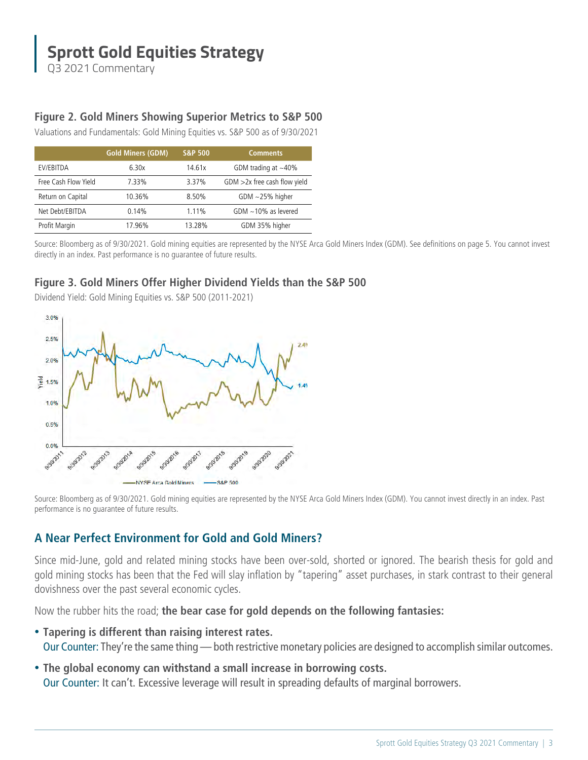Q3 2021 Commentary

#### **Figure 2. Gold Miners Showing Superior Metrics to S&P 500**

Valuations and Fundamentals: Gold Mining Equities vs. S&P 500 as of 9/30/2021

|                      | <b>Gold Miners (GDM)</b> | <b>S&amp;P 500</b> | <b>Comments</b>                 |
|----------------------|--------------------------|--------------------|---------------------------------|
| EV/EBITDA            | 6.30x                    | 14.61x             | GDM trading at $\sim$ 40%       |
| Free Cash Flow Yield | 7.33%                    | 3.37%              | $GDM > 2x$ free cash flow yield |
| Return on Capital    | 10.36%                   | 8.50%              | GDM $\sim$ 25% higher           |
| Net Debt/EBITDA      | 0.14%                    | 1.11%              | GDM $\sim$ 10% as levered       |
| Profit Margin        | 17.96%                   | 13.28%             | GDM 35% higher                  |

Source: Bloomberg as of 9/30/2021. Gold mining equities are represented by the NYSE Arca Gold Miners Index (GDM). See definitions on page 5. You cannot invest directly in an index. Past performance is no guarantee of future results.

#### **Figure 3. Gold Miners Offer Higher Dividend Yields than the S&P 500**

Dividend Yield: Gold Mining Equities vs. S&P 500 (2011-2021)



Source: Bloomberg as of 9/30/2021. Gold mining equities are represented by the NYSE Arca Gold Miners Index (GDM). You cannot invest directly in an index. Past performance is no guarantee of future results.

#### **A Near Perfect Environment for Gold and Gold Miners?**

Since mid-June, gold and related mining stocks have been over-sold, shorted or ignored. The bearish thesis for gold and gold mining stocks has been that the Fed will slay inflation by "tapering" asset purchases, in stark contrast to their general dovishness over the past several economic cycles.

Now the rubber hits the road; **the bear case for gold depends on the following fantasies:**

- **Tapering is different than raising interest rates.** Our Counter: They're the same thing — both restrictive monetary policies are designed to accomplish similar outcomes.
- **The global economy can withstand a small increase in borrowing costs.** Our Counter: It can't. Excessive leverage will result in spreading defaults of marginal borrowers.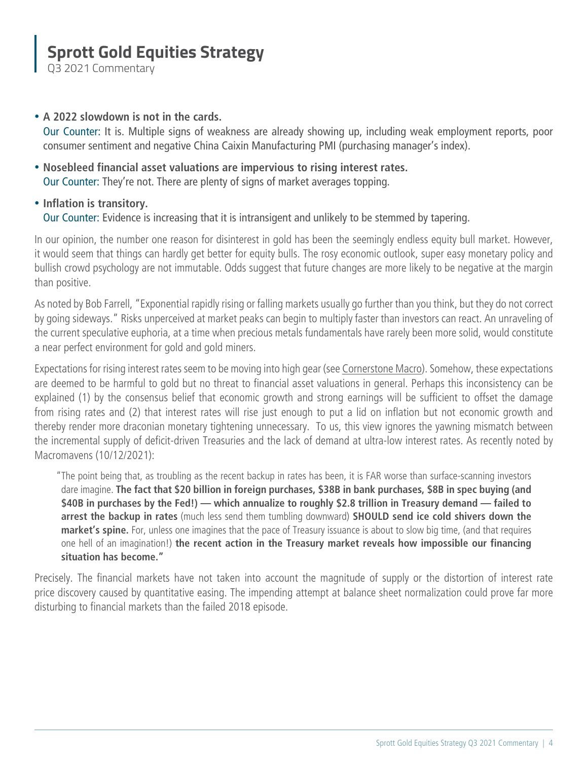Q3 2021 Commentary

#### • **A 2022 slowdown is not in the cards.**

 Our Counter: It is. Multiple signs of weakness are already showing up, including weak employment reports, poor consumer sentiment and negative China Caixin Manufacturing PMI (purchasing manager's index).

• **Nosebleed financial asset valuations are impervious to rising interest rates.** Our Counter: They're not. There are plenty of signs of market averages topping.

#### • **Inflation is transitory.**

Our Counter: Evidence is increasing that it is intransigent and unlikely to be stemmed by tapering.

In our opinion, the number one reason for disinterest in gold has been the seemingly endless equity bull market. However, it would seem that things can hardly get better for equity bulls. The rosy economic outlook, super easy monetary policy and bullish crowd psychology are not immutable. Odds suggest that future changes are more likely to be negative at the margin than positive.

As noted by Bob Farrell, "Exponential rapidly rising or falling markets usually go further than you think, but they do not correct by going sideways." Risks unperceived at market peaks can begin to multiply faster than investors can react. An unraveling of the current speculative euphoria, at a time when precious metals fundamentals have rarely been more solid, would constitute a near perfect environment for gold and gold miners.

Expectations for rising interest rates seem to be moving into high gear (see [Cornerstone Macro\)](https://www.sprott.com/insights/sprott-gold-report-its-show-time-for-the-fed/#Cornerstonemacro). Somehow, these expectations are deemed to be harmful to gold but no threat to financial asset valuations in general. Perhaps this inconsistency can be explained (1) by the consensus belief that economic growth and strong earnings will be sufficient to offset the damage from rising rates and (2) that interest rates will rise just enough to put a lid on inflation but not economic growth and thereby render more draconian monetary tightening unnecessary. To us, this view ignores the yawning mismatch between the incremental supply of deficit-driven Treasuries and the lack of demand at ultra-low interest rates. As recently noted by Macromavens (10/12/2021):

"The point being that, as troubling as the recent backup in rates has been, it is FAR worse than surface-scanning investors dare imagine. **The fact that \$20 billion in foreign purchases, \$38B in bank purchases, \$8B in spec buying (and \$40B in purchases by the Fed!) — which annualize to roughly \$2.8 trillion in Treasury demand — failed to arrest the backup in rates** (much less send them tumbling downward) **SHOULD send ice cold shivers down the market's spine.** For, unless one imagines that the pace of Treasury issuance is about to slow big time, (and that requires one hell of an imagination!) **the recent action in the Treasury market reveals how impossible our financing situation has become."**

Precisely. The financial markets have not taken into account the magnitude of supply or the distortion of interest rate price discovery caused by quantitative easing. The impending attempt at balance sheet normalization could prove far more disturbing to financial markets than the failed 2018 episode.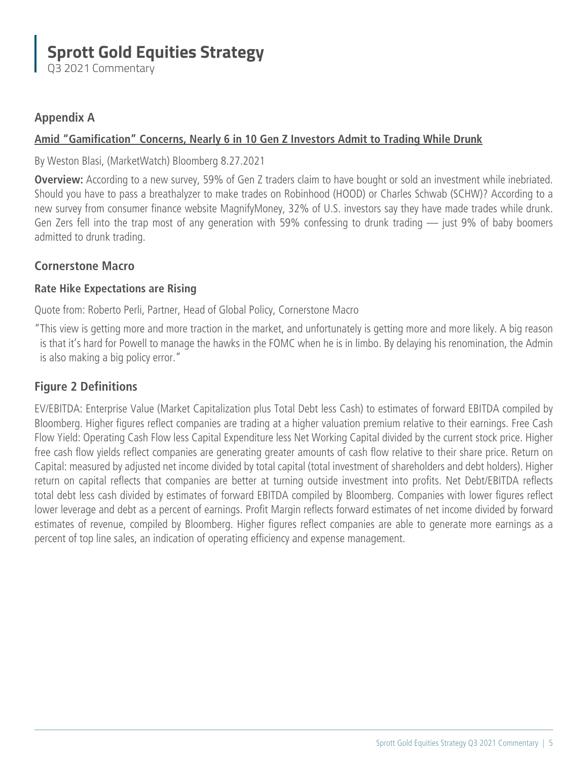Q3 2021 Commentary

#### **Appendix A**

#### **[Amid "Gamification" Concerns, Nearly 6 in 10 Gen Z Investors Admit to Trading While Drunk](https://www.marketwatch.com/story/more-than-half-of-gen-z-investors-admit-to-trading-while-drunk-11629382517)**

#### By Weston Blasi, (MarketWatch) Bloomberg 8.27.2021

**Overview:** According to a new survey, 59% of Gen Z traders claim to have bought or sold an investment while inebriated. Should you have to pass a breathalyzer to make trades on Robinhood (HOOD) or Charles Schwab (SCHW)? According to a new survey from consumer finance website MagnifyMoney, 32% of U.S. investors say they have made trades while drunk. Gen Zers fell into the trap most of any generation with 59% confessing to drunk trading — just 9% of baby boomers admitted to drunk trading.

#### **Cornerstone Macro**

#### **Rate Hike Expectations are Rising**

Quote from: Roberto Perli, Partner, Head of Global Policy, Cornerstone Macro

"This view is getting more and more traction in the market, and unfortunately is getting more and more likely. A big reason is that it's hard for Powell to manage the hawks in the FOMC when he is in limbo. By delaying his renomination, the Admin is also making a big policy error."

#### **Figure 2 Definitions**

EV/EBITDA: Enterprise Value (Market Capitalization plus Total Debt less Cash) to estimates of forward EBITDA compiled by Bloomberg. Higher figures reflect companies are trading at a higher valuation premium relative to their earnings. Free Cash Flow Yield: Operating Cash Flow less Capital Expenditure less Net Working Capital divided by the current stock price. Higher free cash flow yields reflect companies are generating greater amounts of cash flow relative to their share price. Return on Capital: measured by adjusted net income divided by total capital (total investment of shareholders and debt holders). Higher return on capital reflects that companies are better at turning outside investment into profits. Net Debt/EBITDA reflects total debt less cash divided by estimates of forward EBITDA compiled by Bloomberg. Companies with lower figures reflect lower leverage and debt as a percent of earnings. Profit Margin reflects forward estimates of net income divided by forward estimates of revenue, compiled by Bloomberg. Higher figures reflect companies are able to generate more earnings as a percent of top line sales, an indication of operating efficiency and expense management.